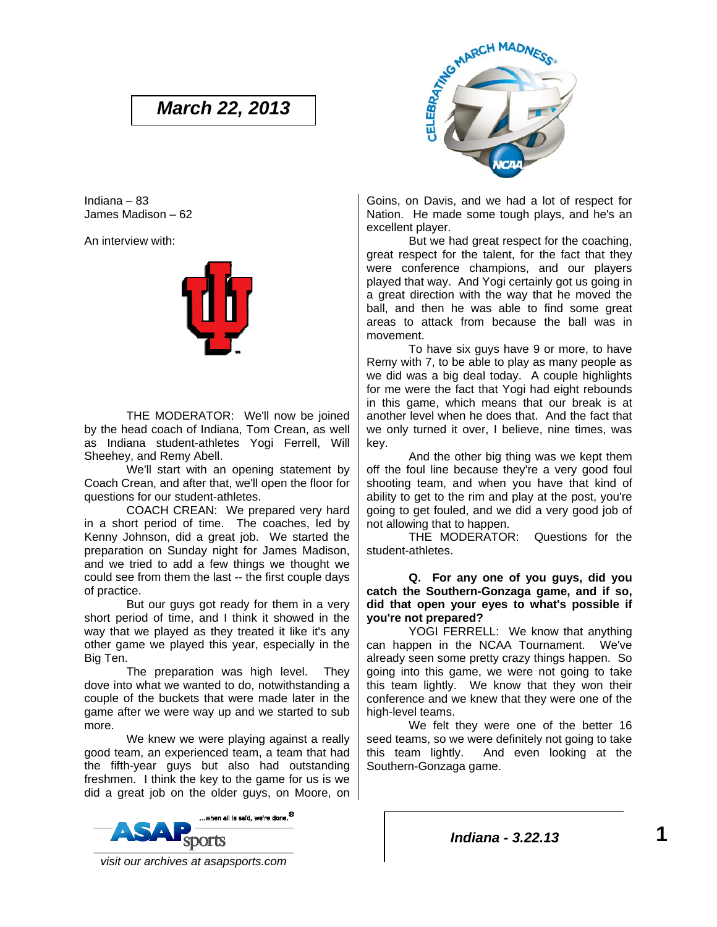# *March 22, 2013*

Indiana – 83 James Madison – 62

An interview with:

 THE MODERATOR: We'll now be joined by the head coach of Indiana, Tom Crean, as well as Indiana student-athletes Yogi Ferrell, Will Sheehey, and Remy Abell.

 We'll start with an opening statement by Coach Crean, and after that, we'll open the floor for questions for our student-athletes.

 COACH CREAN: We prepared very hard in a short period of time. The coaches, led by Kenny Johnson, did a great job. We started the preparation on Sunday night for James Madison, and we tried to add a few things we thought we could see from them the last -- the first couple days of practice.

 But our guys got ready for them in a very short period of time, and I think it showed in the way that we played as they treated it like it's any other game we played this year, especially in the Big Ten.

 The preparation was high level. They dove into what we wanted to do, notwithstanding a couple of the buckets that were made later in the game after we were way up and we started to sub more.

 We knew we were playing against a really good team, an experienced team, a team that had the fifth-year guys but also had outstanding freshmen. I think the key to the game for us is we did a great job on the older guys, on Moore, on





Goins, on Davis, and we had a lot of respect for Nation. He made some tough plays, and he's an excellent player.

 But we had great respect for the coaching, great respect for the talent, for the fact that they were conference champions, and our players played that way. And Yogi certainly got us going in a great direction with the way that he moved the ball, and then he was able to find some great areas to attack from because the ball was in movement.

 To have six guys have 9 or more, to have Remy with 7, to be able to play as many people as we did was a big deal today. A couple highlights for me were the fact that Yogi had eight rebounds in this game, which means that our break is at another level when he does that. And the fact that we only turned it over, I believe, nine times, was key.

 And the other big thing was we kept them off the foul line because they're a very good foul shooting team, and when you have that kind of ability to get to the rim and play at the post, you're going to get fouled, and we did a very good job of not allowing that to happen.

 THE MODERATOR: Questions for the student-athletes.

# **Q. For any one of you guys, did you catch the Southern-Gonzaga game, and if so, did that open your eyes to what's possible if you're not prepared?**

YOGI FERRELL: We know that anything can happen in the NCAA Tournament. We've already seen some pretty crazy things happen. So going into this game, we were not going to take this team lightly. We know that they won their conference and we knew that they were one of the high-level teams.

 We felt they were one of the better 16 seed teams, so we were definitely not going to take this team lightly. And even looking at the Southern-Gonzaga game.

*Indiana - 3.22.13* **1**

 *visit our archives at asapsports.com*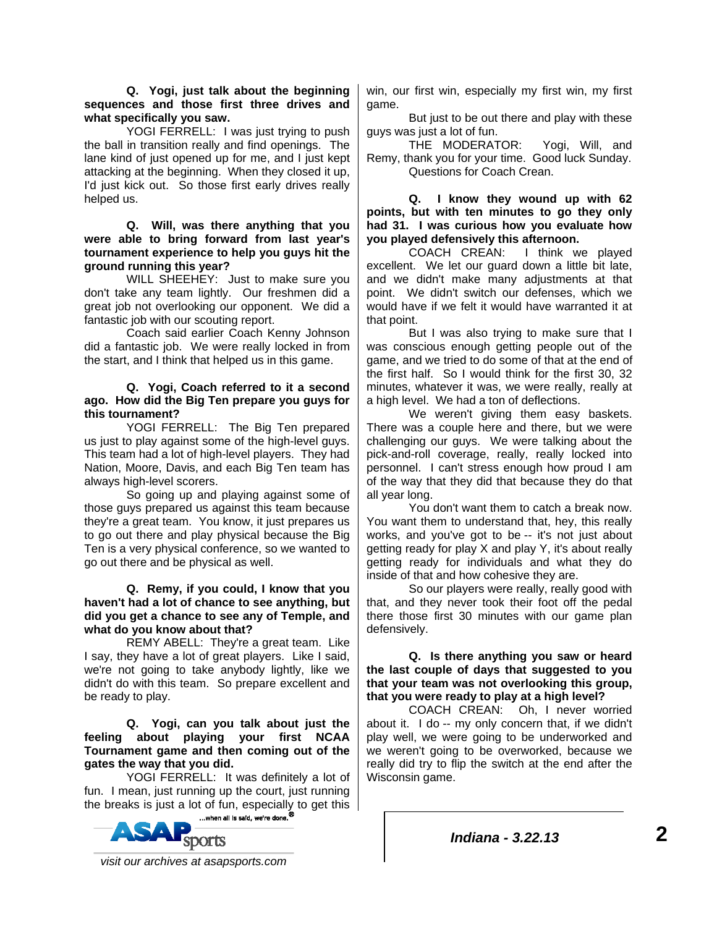# **Q. Yogi, just talk about the beginning sequences and those first three drives and what specifically you saw.**

YOGI FERRELL: I was just trying to push the ball in transition really and find openings. The lane kind of just opened up for me, and I just kept attacking at the beginning. When they closed it up, I'd just kick out. So those first early drives really helped us.

#### **Q. Will, was there anything that you were able to bring forward from last year's tournament experience to help you guys hit the ground running this year?**

 WILL SHEEHEY: Just to make sure you don't take any team lightly. Our freshmen did a great job not overlooking our opponent. We did a fantastic job with our scouting report.

 Coach said earlier Coach Kenny Johnson did a fantastic job. We were really locked in from the start, and I think that helped us in this game.

#### **Q. Yogi, Coach referred to it a second ago. How did the Big Ten prepare you guys for this tournament?**

 YOGI FERRELL: The Big Ten prepared us just to play against some of the high-level guys. This team had a lot of high-level players. They had Nation, Moore, Davis, and each Big Ten team has always high-level scorers.

 So going up and playing against some of those guys prepared us against this team because they're a great team. You know, it just prepares us to go out there and play physical because the Big Ten is a very physical conference, so we wanted to go out there and be physical as well.

# **Q. Remy, if you could, I know that you haven't had a lot of chance to see anything, but did you get a chance to see any of Temple, and what do you know about that?**

 REMY ABELL: They're a great team. Like I say, they have a lot of great players. Like I said, we're not going to take anybody lightly, like we didn't do with this team. So prepare excellent and be ready to play.

# **Q. Yogi, can you talk about just the feeling about playing your first NCAA Tournament game and then coming out of the gates the way that you did.**

 YOGI FERRELL: It was definitely a lot of fun. I mean, just running up the court, just running the breaks is just a lot of fun, especially to get this



win, our first win, especially my first win, my first game.

 But just to be out there and play with these guys was just a lot of fun.

 THE MODERATOR: Yogi, Will, and Remy, thank you for your time. Good luck Sunday. Questions for Coach Crean.

 **Q. I know they wound up with 62 points, but with ten minutes to go they only had 31. I was curious how you evaluate how you played defensively this afternoon.** 

 COACH CREAN: I think we played excellent. We let our guard down a little bit late, and we didn't make many adjustments at that point. We didn't switch our defenses, which we would have if we felt it would have warranted it at that point.

 But I was also trying to make sure that I was conscious enough getting people out of the game, and we tried to do some of that at the end of the first half. So I would think for the first 30, 32 minutes, whatever it was, we were really, really at a high level. We had a ton of deflections.

 We weren't giving them easy baskets. There was a couple here and there, but we were challenging our guys. We were talking about the pick-and-roll coverage, really, really locked into personnel. I can't stress enough how proud I am of the way that they did that because they do that all year long.

 You don't want them to catch a break now. You want them to understand that, hey, this really works, and you've got to be -- it's not just about getting ready for play X and play Y, it's about really getting ready for individuals and what they do inside of that and how cohesive they are.

 So our players were really, really good with that, and they never took their foot off the pedal there those first 30 minutes with our game plan defensively.

# **Q. Is there anything you saw or heard the last couple of days that suggested to you that your team was not overlooking this group, that you were ready to play at a high level?**

 COACH CREAN: Oh, I never worried about it. I do -- my only concern that, if we didn't play well, we were going to be underworked and we weren't going to be overworked, because we really did try to flip the switch at the end after the Wisconsin game.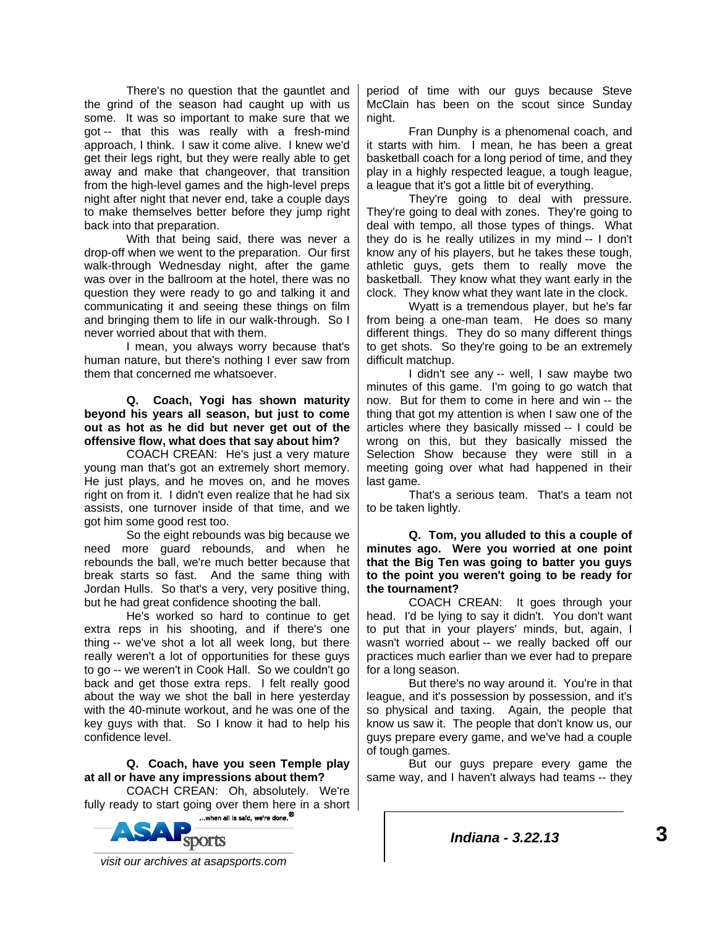There's no question that the gauntlet and the grind of the season had caught up with us some. It was so important to make sure that we got -- that this was really with a fresh-mind approach, I think. I saw it come alive. I knew we'd get their legs right, but they were really able to get away and make that changeover, that transition from the high-level games and the high-level preps night after night that never end, take a couple days to make themselves better before they jump right back into that preparation.

 With that being said, there was never a drop-off when we went to the preparation. Our first walk-through Wednesday night, after the game was over in the ballroom at the hotel, there was no question they were ready to go and talking it and communicating it and seeing these things on film and bringing them to life in our walk-through. So I never worried about that with them.

 I mean, you always worry because that's human nature, but there's nothing I ever saw from them that concerned me whatsoever.

# **Q. Coach, Yogi has shown maturity beyond his years all season, but just to come out as hot as he did but never get out of the offensive flow, what does that say about him?**

 COACH CREAN: He's just a very mature young man that's got an extremely short memory. He just plays, and he moves on, and he moves right on from it. I didn't even realize that he had six assists, one turnover inside of that time, and we got him some good rest too.

 So the eight rebounds was big because we need more guard rebounds, and when he rebounds the ball, we're much better because that break starts so fast. And the same thing with Jordan Hulls. So that's a very, very positive thing, but he had great confidence shooting the ball.

 He's worked so hard to continue to get extra reps in his shooting, and if there's one thing -- we've shot a lot all week long, but there really weren't a lot of opportunities for these guys to go -- we weren't in Cook Hall. So we couldn't go back and get those extra reps. I felt really good about the way we shot the ball in here yesterday with the 40-minute workout, and he was one of the key guys with that. So I know it had to help his confidence level.

# **Q. Coach, have you seen Temple play at all or have any impressions about them?**

 COACH CREAN: Oh, absolutely. We're fully ready to start going over them here in a short



period of time with our guys because Steve McClain has been on the scout since Sunday night.

 Fran Dunphy is a phenomenal coach, and it starts with him. I mean, he has been a great basketball coach for a long period of time, and they play in a highly respected league, a tough league, a league that it's got a little bit of everything.

 They're going to deal with pressure. They're going to deal with zones. They're going to deal with tempo, all those types of things. What they do is he really utilizes in my mind -- I don't know any of his players, but he takes these tough, athletic guys, gets them to really move the basketball. They know what they want early in the clock. They know what they want late in the clock.

 Wyatt is a tremendous player, but he's far from being a one-man team. He does so many different things. They do so many different things to get shots. So they're going to be an extremely difficult matchup.

 I didn't see any -- well, I saw maybe two minutes of this game. I'm going to go watch that now. But for them to come in here and win -- the thing that got my attention is when I saw one of the articles where they basically missed -- I could be wrong on this, but they basically missed the Selection Show because they were still in a meeting going over what had happened in their last game.

 That's a serious team. That's a team not to be taken lightly.

 **Q. Tom, you alluded to this a couple of minutes ago. Were you worried at one point that the Big Ten was going to batter you guys to the point you weren't going to be ready for the tournament?** 

 COACH CREAN: It goes through your head. I'd be lying to say it didn't. You don't want to put that in your players' minds, but, again, I wasn't worried about -- we really backed off our practices much earlier than we ever had to prepare for a long season.

 But there's no way around it. You're in that league, and it's possession by possession, and it's so physical and taxing. Again, the people that know us saw it. The people that don't know us, our guys prepare every game, and we've had a couple of tough games.

 But our guys prepare every game the same way, and I haven't always had teams -- they

*Indiana - 3.22.13* **3**

 *visit our archives at asapsports.com*